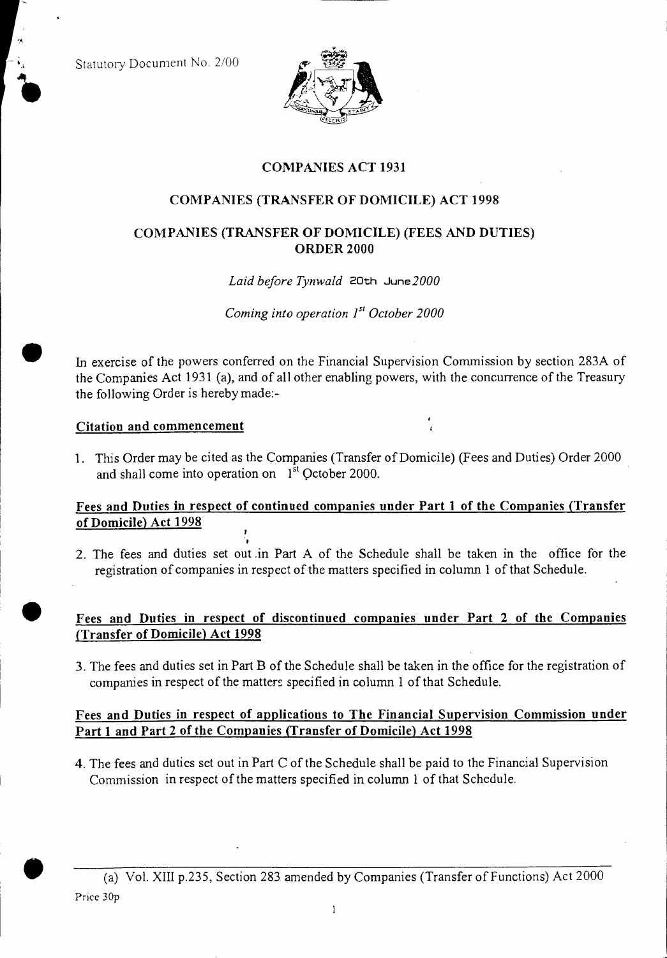Statutory Document No. 2/00



# **COMPANIES ACT 1931**

# **COMPANIES (TRANSFER OF DOMICILE) ACT 1998**

## **COMPANIES (TRANSFER OF DOMICILE) (FEES AND DUTIES) ORDER 2000**

#### *Laid before Tynwald* 20th June2000

*Coming into operation*  $I<sup>st</sup> October 2000$ 

In exercise of the powers conferred on the Financial Supervision Commission by section 283A of the Companies Act 1931 (a), and of all other enabling powers, with the concurrence of the Treasury the following Order is hereby made:-

#### **Citation and commencement**

1. This Order may be cited as the Companies (Transfer of Domicile) (Fees and Duties) Order 2000 and shall come into operation on  $1<sup>st</sup>$  October 2000.

# **Fees and Duties in respect of continued companies under Part 1 of the Companies (Transfer of Domicile) Act 1998**

2. The fees and duties set out in Part A of the Schedule shall be taken in the office for the registration of companies in respect of the matters specified in column 1 of that Schedule.

### **Fees and Duties in respect of discontinued companies under Part 2 of the Companies (Transfer of Domicile) Act 1998**

3. The fees and duties set in Part B of the Schedule shall be taken in the office for the registration of companies in respect of the matters specified in column 1 of that Schedule.

### **Fees and Duties in respect of applications to The Financial Supervision Commission under Part 1 and Part 2 of the Companies (Transfer of Domicile) Act 1998**

4. The fees and duties set out in Part C of the Schedule shall be paid to the Financial Supervision Commission in respect of the matters specified in column 1 of that Schedule.